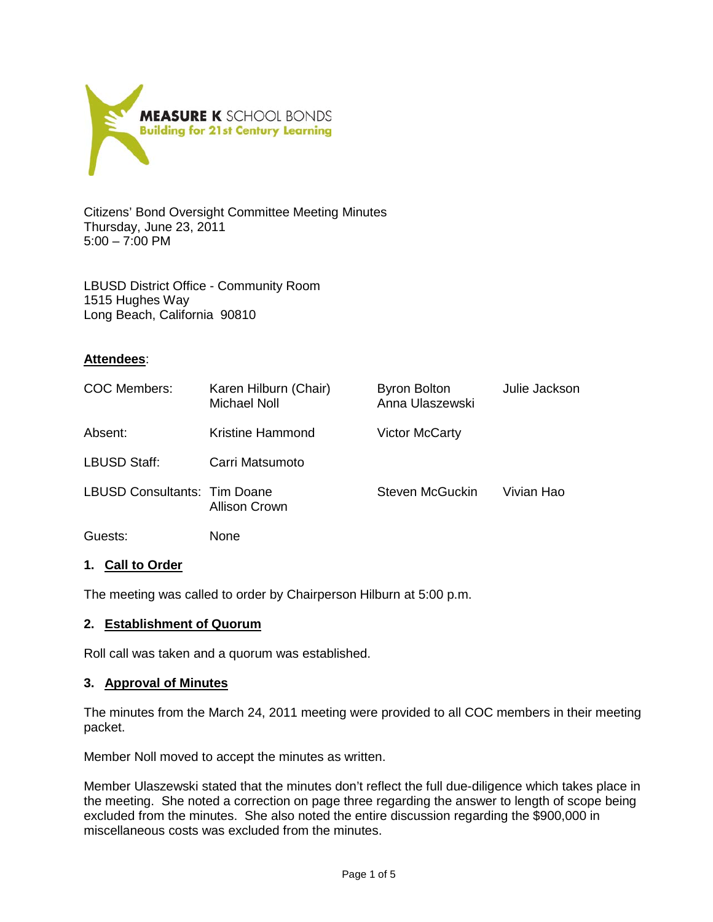

Citizens' Bond Oversight Committee Meeting Minutes Thursday, June 23, 2011 5:00 – 7:00 PM

LBUSD District Office - Community Room 1515 Hughes Way Long Beach, California 90810

## **Attendees**:

| COC Members:                        | Karen Hilburn (Chair)<br>Michael Noll | <b>Byron Bolton</b><br>Anna Ulaszewski | Julie Jackson |
|-------------------------------------|---------------------------------------|----------------------------------------|---------------|
| Absent:                             | <b>Kristine Hammond</b>               | <b>Victor McCarty</b>                  |               |
| LBUSD Staff:                        | Carri Matsumoto                       |                                        |               |
| <b>LBUSD Consultants: Tim Doane</b> | Allison Crown                         | Steven McGuckin                        | Vivian Hao    |
| Guests:                             | None                                  |                                        |               |

### **1. Call to Order**

The meeting was called to order by Chairperson Hilburn at 5:00 p.m.

### **2. Establishment of Quorum**

Roll call was taken and a quorum was established.

### **3. Approval of Minutes**

The minutes from the March 24, 2011 meeting were provided to all COC members in their meeting packet.

Member Noll moved to accept the minutes as written.

Member Ulaszewski stated that the minutes don't reflect the full due-diligence which takes place in the meeting. She noted a correction on page three regarding the answer to length of scope being excluded from the minutes. She also noted the entire discussion regarding the \$900,000 in miscellaneous costs was excluded from the minutes.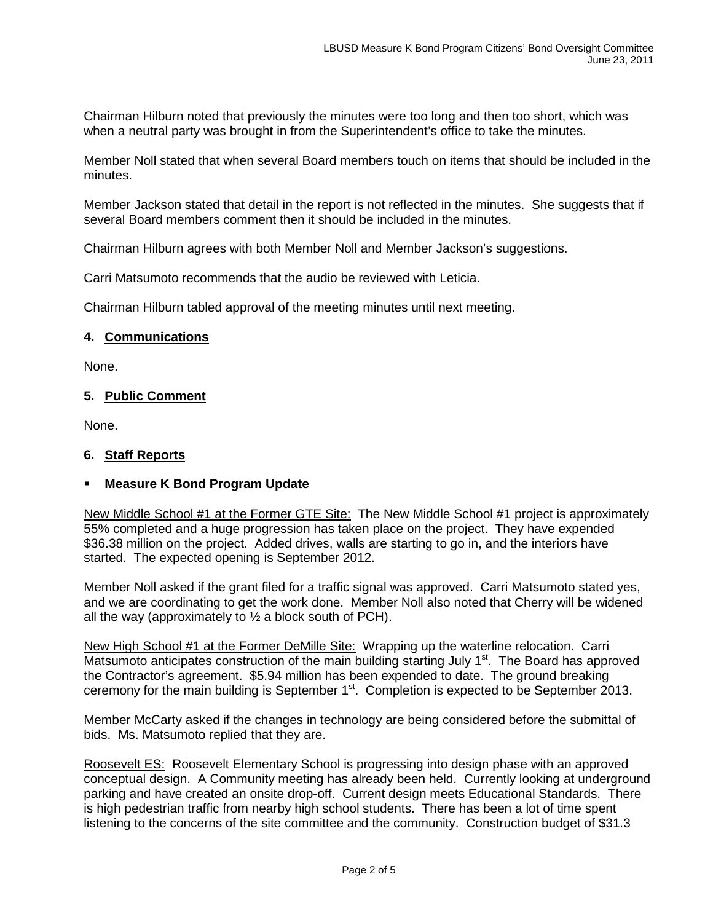Chairman Hilburn noted that previously the minutes were too long and then too short, which was when a neutral party was brought in from the Superintendent's office to take the minutes.

Member Noll stated that when several Board members touch on items that should be included in the minutes.

Member Jackson stated that detail in the report is not reflected in the minutes. She suggests that if several Board members comment then it should be included in the minutes.

Chairman Hilburn agrees with both Member Noll and Member Jackson's suggestions.

Carri Matsumoto recommends that the audio be reviewed with Leticia.

Chairman Hilburn tabled approval of the meeting minutes until next meeting.

### **4. Communications**

None.

# **5. Public Comment**

None.

## **6. Staff Reports**

## **Measure K Bond Program Update**

New Middle School #1 at the Former GTE Site: The New Middle School #1 project is approximately 55% completed and a huge progression has taken place on the project. They have expended \$36.38 million on the project. Added drives, walls are starting to go in, and the interiors have started. The expected opening is September 2012.

Member Noll asked if the grant filed for a traffic signal was approved. Carri Matsumoto stated yes, and we are coordinating to get the work done. Member Noll also noted that Cherry will be widened all the way (approximately to  $\frac{1}{2}$  a block south of PCH).

New High School #1 at the Former DeMille Site: Wrapping up the waterline relocation. Carri Matsumoto anticipates construction of the main building starting July 1<sup>st</sup>. The Board has approved the Contractor's agreement. \$5.94 million has been expended to date. The ground breaking ceremony for the main building is September 1<sup>st</sup>. Completion is expected to be September 2013.

Member McCarty asked if the changes in technology are being considered before the submittal of bids. Ms. Matsumoto replied that they are.

Roosevelt ES: Roosevelt Elementary School is progressing into design phase with an approved conceptual design. A Community meeting has already been held. Currently looking at underground parking and have created an onsite drop-off. Current design meets Educational Standards. There is high pedestrian traffic from nearby high school students. There has been a lot of time spent listening to the concerns of the site committee and the community. Construction budget of \$31.3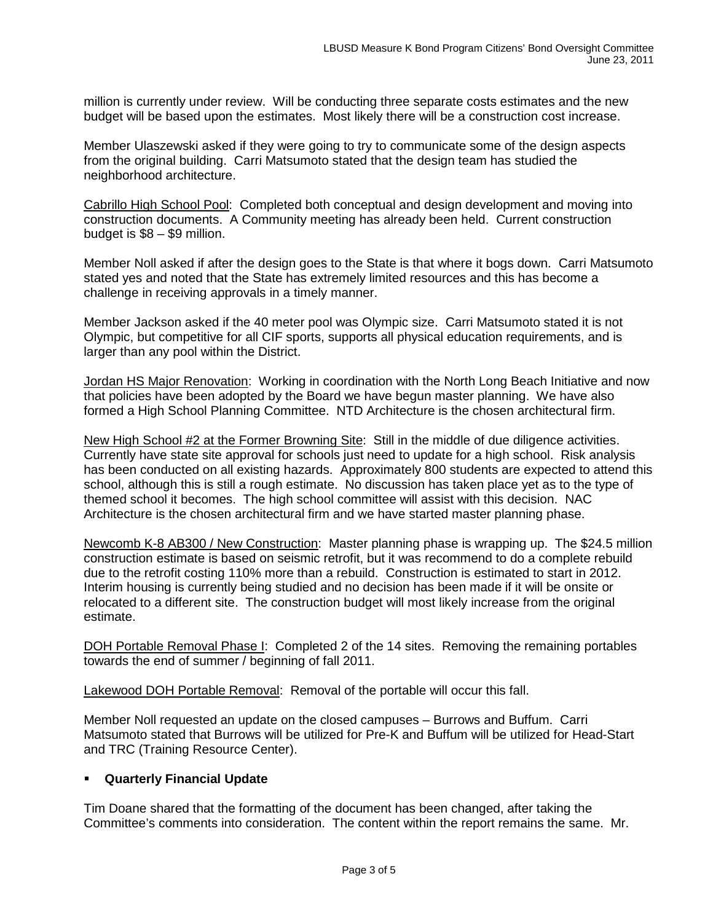million is currently under review. Will be conducting three separate costs estimates and the new budget will be based upon the estimates. Most likely there will be a construction cost increase.

Member Ulaszewski asked if they were going to try to communicate some of the design aspects from the original building. Carri Matsumoto stated that the design team has studied the neighborhood architecture.

Cabrillo High School Pool: Completed both conceptual and design development and moving into construction documents. A Community meeting has already been held. Current construction budget is \$8 – \$9 million.

Member Noll asked if after the design goes to the State is that where it bogs down. Carri Matsumoto stated yes and noted that the State has extremely limited resources and this has become a challenge in receiving approvals in a timely manner.

Member Jackson asked if the 40 meter pool was Olympic size. Carri Matsumoto stated it is not Olympic, but competitive for all CIF sports, supports all physical education requirements, and is larger than any pool within the District.

**Jordan HS Major Renovation:** Working in coordination with the North Long Beach Initiative and now that policies have been adopted by the Board we have begun master planning. We have also formed a High School Planning Committee. NTD Architecture is the chosen architectural firm.

New High School #2 at the Former Browning Site: Still in the middle of due diligence activities. Currently have state site approval for schools just need to update for a high school. Risk analysis has been conducted on all existing hazards. Approximately 800 students are expected to attend this school, although this is still a rough estimate. No discussion has taken place yet as to the type of themed school it becomes. The high school committee will assist with this decision. NAC Architecture is the chosen architectural firm and we have started master planning phase.

Newcomb K-8 AB300 / New Construction: Master planning phase is wrapping up. The \$24.5 million construction estimate is based on seismic retrofit, but it was recommend to do a complete rebuild due to the retrofit costing 110% more than a rebuild. Construction is estimated to start in 2012. Interim housing is currently being studied and no decision has been made if it will be onsite or relocated to a different site. The construction budget will most likely increase from the original estimate.

DOH Portable Removal Phase I: Completed 2 of the 14 sites. Removing the remaining portables towards the end of summer / beginning of fall 2011.

Lakewood DOH Portable Removal: Removal of the portable will occur this fall.

Member Noll requested an update on the closed campuses – Burrows and Buffum. Carri Matsumoto stated that Burrows will be utilized for Pre-K and Buffum will be utilized for Head-Start and TRC (Training Resource Center).

## **Quarterly Financial Update**

Tim Doane shared that the formatting of the document has been changed, after taking the Committee's comments into consideration. The content within the report remains the same. Mr.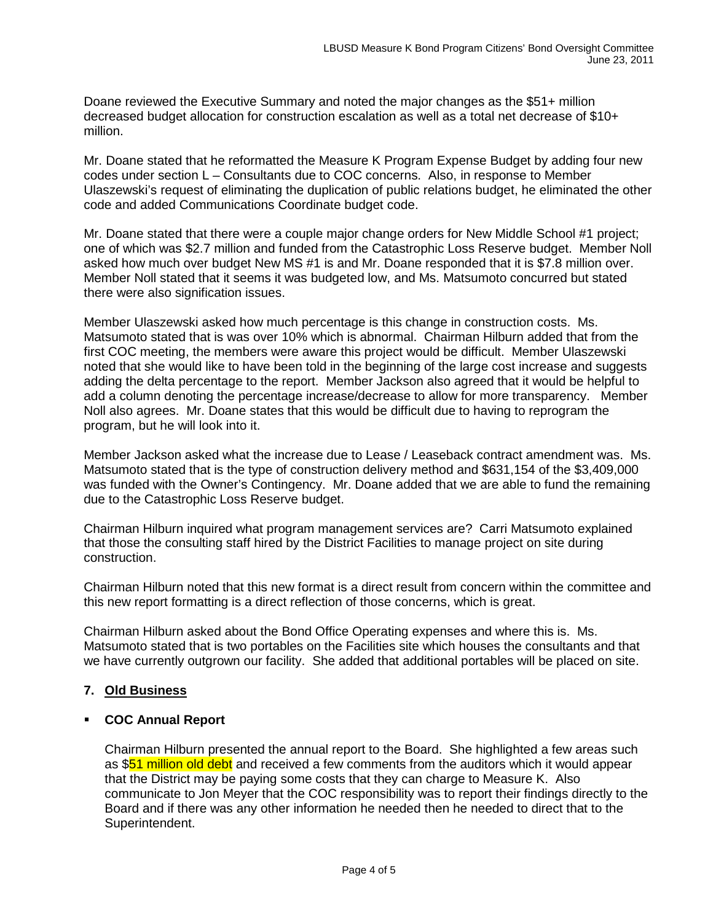Doane reviewed the Executive Summary and noted the major changes as the \$51+ million decreased budget allocation for construction escalation as well as a total net decrease of \$10+ million.

Mr. Doane stated that he reformatted the Measure K Program Expense Budget by adding four new codes under section L – Consultants due to COC concerns. Also, in response to Member Ulaszewski's request of eliminating the duplication of public relations budget, he eliminated the other code and added Communications Coordinate budget code.

Mr. Doane stated that there were a couple major change orders for New Middle School #1 project; one of which was \$2.7 million and funded from the Catastrophic Loss Reserve budget. Member Noll asked how much over budget New MS #1 is and Mr. Doane responded that it is \$7.8 million over. Member Noll stated that it seems it was budgeted low, and Ms. Matsumoto concurred but stated there were also signification issues.

Member Ulaszewski asked how much percentage is this change in construction costs. Ms. Matsumoto stated that is was over 10% which is abnormal. Chairman Hilburn added that from the first COC meeting, the members were aware this project would be difficult. Member Ulaszewski noted that she would like to have been told in the beginning of the large cost increase and suggests adding the delta percentage to the report. Member Jackson also agreed that it would be helpful to add a column denoting the percentage increase/decrease to allow for more transparency. Member Noll also agrees. Mr. Doane states that this would be difficult due to having to reprogram the program, but he will look into it.

Member Jackson asked what the increase due to Lease / Leaseback contract amendment was. Ms. Matsumoto stated that is the type of construction delivery method and \$631,154 of the \$3,409,000 was funded with the Owner's Contingency. Mr. Doane added that we are able to fund the remaining due to the Catastrophic Loss Reserve budget.

Chairman Hilburn inquired what program management services are? Carri Matsumoto explained that those the consulting staff hired by the District Facilities to manage project on site during construction.

Chairman Hilburn noted that this new format is a direct result from concern within the committee and this new report formatting is a direct reflection of those concerns, which is great.

Chairman Hilburn asked about the Bond Office Operating expenses and where this is. Ms. Matsumoto stated that is two portables on the Facilities site which houses the consultants and that we have currently outgrown our facility. She added that additional portables will be placed on site.

# **7. Old Business**

## **COC Annual Report**

Chairman Hilburn presented the annual report to the Board. She highlighted a few areas such as \$51 million old debt and received a few comments from the auditors which it would appear that the District may be paying some costs that they can charge to Measure K. Also communicate to Jon Meyer that the COC responsibility was to report their findings directly to the Board and if there was any other information he needed then he needed to direct that to the Superintendent.